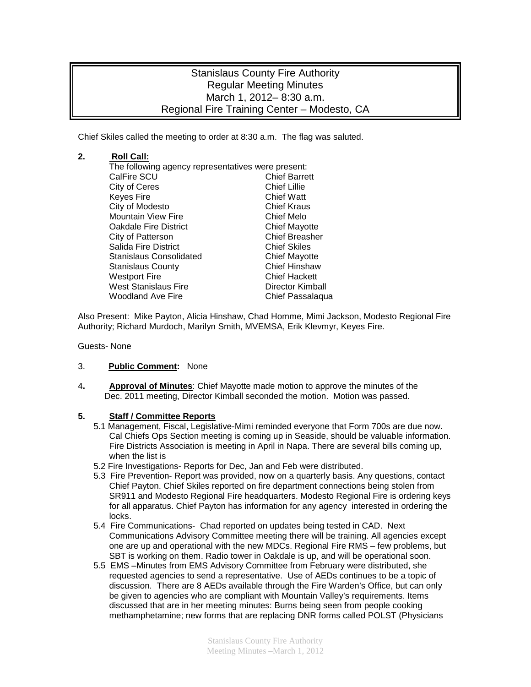# Stanislaus County Fire Authority Regular Meeting Minutes March 1, 2012– 8:30 a.m. Regional Fire Training Center – Modesto, CA

Chief Skiles called the meeting to order at 8:30 a.m. The flag was saluted.

### **2. Roll Call:**

The following agency representatives were present: CalFire SCU Chief Barre<br>City of Ceres Chief Lillie City of Ceres Chief Lillie Keyes Fire **Chief Watt**<br>City of Modesto **Chief Kraus** City of Modesto Mountain View Fire **Chief Melo** Oakdale Fire District **Chief Mayotte**<br>City of Patterson **Chief Breasher** City of Patterson Salida Fire District<br>
Stanislaus Consolidated<br>
Chief Mayotte Stanislaus Consolidated **Chief Mayotte**<br>
Stanislaus County Chief Hinshaw Stanislaus County Westport Fire **Chief Hackett** West Stanislaus Fire **Director Kimball**<br>Woodland Ave Fire **Director Chief Passalagu** Chief Passalaqua

Also Present: Mike Payton, Alicia Hinshaw, Chad Homme, Mimi Jackson, Modesto Regional Fire Authority; Richard Murdoch, Marilyn Smith, MVEMSA, Erik Klevmyr, Keyes Fire.

Guests- None

#### 3. **Public Comment:** None

4**. Approval of Minutes**: Chief Mayotte made motion to approve the minutes of the Dec. 2011 meeting, Director Kimball seconded the motion. Motion was passed.

#### **5. Staff / Committee Reports**

- 5.1 Management, Fiscal, Legislative-Mimi reminded everyone that Form 700s are due now. Cal Chiefs Ops Section meeting is coming up in Seaside, should be valuable information. Fire Districts Association is meeting in April in Napa. There are several bills coming up, when the list is
- 5.2 Fire Investigations- Reports for Dec, Jan and Feb were distributed.
- 5.3 Fire Prevention- Report was provided, now on a quarterly basis. Any questions, contact Chief Payton. Chief Skiles reported on fire department connections being stolen from SR911 and Modesto Regional Fire headquarters. Modesto Regional Fire is ordering keys for all apparatus. Chief Payton has information for any agency interested in ordering the locks.
- 5.4 Fire Communications- Chad reported on updates being tested in CAD. Next Communications Advisory Committee meeting there will be training. All agencies except one are up and operational with the new MDCs. Regional Fire RMS – few problems, but SBT is working on them. Radio tower in Oakdale is up, and will be operational soon.
- 5.5 EMS –Minutes from EMS Advisory Committee from February were distributed, she requested agencies to send a representative. Use of AEDs continues to be a topic of discussion. There are 8 AEDs available through the Fire Warden's Office, but can only be given to agencies who are compliant with Mountain Valley's requirements. Items discussed that are in her meeting minutes: Burns being seen from people cooking methamphetamine; new forms that are replacing DNR forms called POLST (Physicians